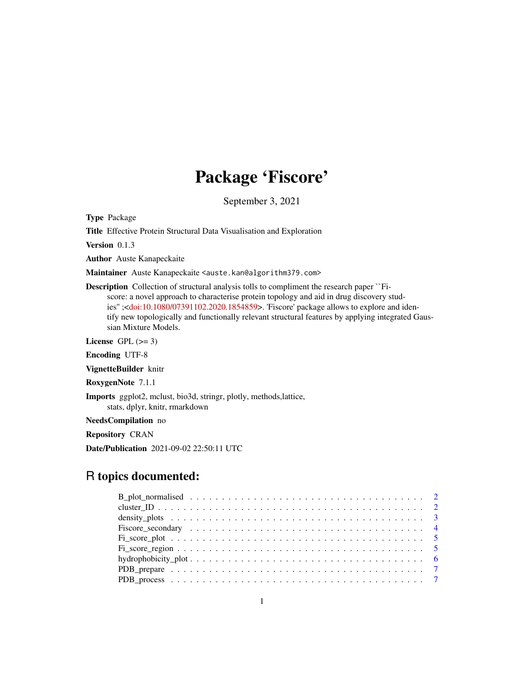## Package 'Fiscore'

September 3, 2021

Type Package

Title Effective Protein Structural Data Visualisation and Exploration

Version 0.1.3

Author Auste Kanapeckaite

Maintainer Auste Kanapeckaite <auste.kan@algorithm379.com>

Description Collection of structural analysis tolls to compliment the research paper ``Fiscore: a novel approach to characterise protein topology and aid in drug discovery studies'' ;[<doi:10.1080/07391102.2020.1854859>](https://doi.org/10.1080/07391102.2020.1854859). 'Fiscore' package allows to explore and identify new topologically and functionally relevant structural features by applying integrated Gaussian Mixture Models.

License GPL  $(>= 3)$ 

Encoding UTF-8

VignetteBuilder knitr

RoxygenNote 7.1.1

Imports ggplot2, mclust, bio3d, stringr, plotly, methods,lattice, stats, dplyr, knitr, rmarkdown

NeedsCompilation no

Repository CRAN

Date/Publication 2021-09-02 22:50:11 UTC

### R topics documented: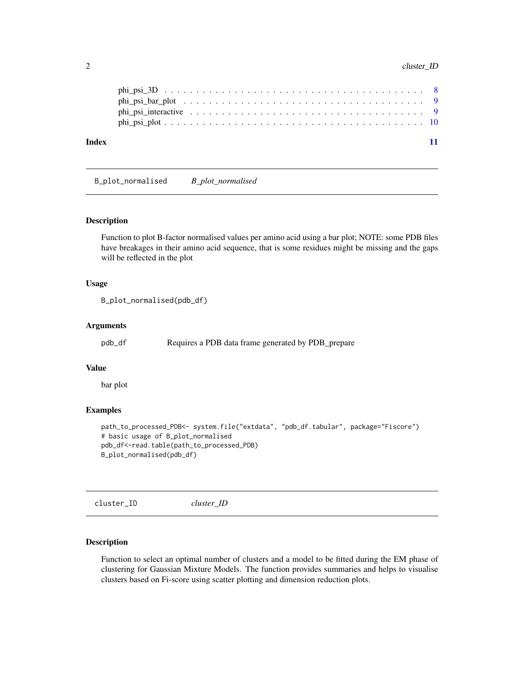#### <span id="page-1-0"></span>2 cluster\_ID

| Index |  |
|-------|--|
|       |  |
|       |  |
|       |  |
|       |  |

B\_plot\_normalised *B\_plot\_normalised*

#### Description

Function to plot B-factor normalised values per amino acid using a bar plot; NOTE: some PDB files have breakages in their amino acid sequence, that is some residues might be missing and the gaps will be reflected in the plot

#### Usage

```
B_plot_normalised(pdb_df)
```
#### Arguments

pdb\_df Requires a PDB data frame generated by PDB\_prepare

#### Value

bar plot

#### Examples

```
path_to_processed_PDB<- system.file("extdata", "pdb_df.tabular", package="Fiscore")
# basic usage of B_plot_normalised
pdb_df<-read.table(path_to_processed_PDB)
B_plot_normalised(pdb_df)
```
cluster\_ID *cluster\_ID*

#### Description

Function to select an optimal number of clusters and a model to be fitted during the EM phase of clustering for Gaussian Mixture Models. The function provides summaries and helps to visualise clusters based on Fi-score using scatter plotting and dimension reduction plots.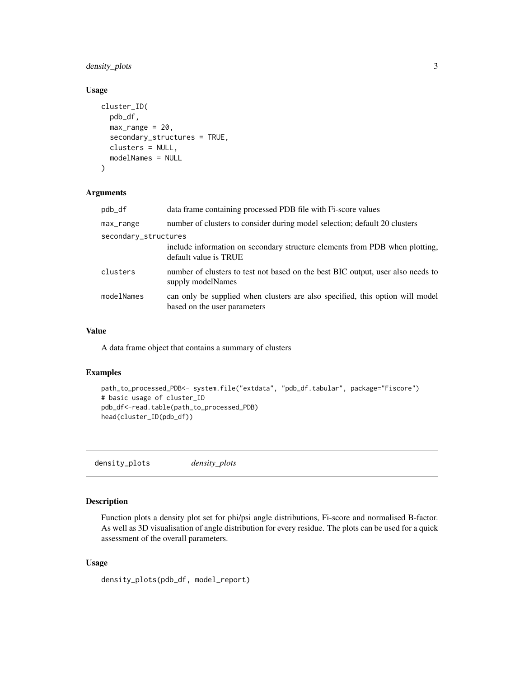#### <span id="page-2-0"></span>density\_plots 3

#### Usage

```
cluster_ID(
 pdb_df,
 max\_range = 20,
  secondary_structures = TRUE,
 clusters = NULL,
 modelNames = NULL
)
```
#### Arguments

| pdb_df               | data frame containing processed PDB file with Fi-score values                                                 |  |
|----------------------|---------------------------------------------------------------------------------------------------------------|--|
| max_range            | number of clusters to consider during model selection; default 20 clusters                                    |  |
| secondary_structures |                                                                                                               |  |
|                      | include information on secondary structure elements from PDB when plotting,<br>default value is TRUE          |  |
| clusters             | number of clusters to test not based on the best BIC output, user also needs to<br>supply modelNames          |  |
| modelNames           | can only be supplied when clusters are also specified, this option will model<br>based on the user parameters |  |

#### Value

A data frame object that contains a summary of clusters

#### Examples

```
path_to_processed_PDB<- system.file("extdata", "pdb_df.tabular", package="Fiscore")
# basic usage of cluster_ID
pdb_df<-read.table(path_to_processed_PDB)
head(cluster_ID(pdb_df))
```
density\_plots *density\_plots*

#### Description

Function plots a density plot set for phi/psi angle distributions, Fi-score and normalised B-factor. As well as 3D visualisation of angle distribution for every residue. The plots can be used for a quick assessment of the overall parameters.

#### Usage

```
density_plots(pdb_df, model_report)
```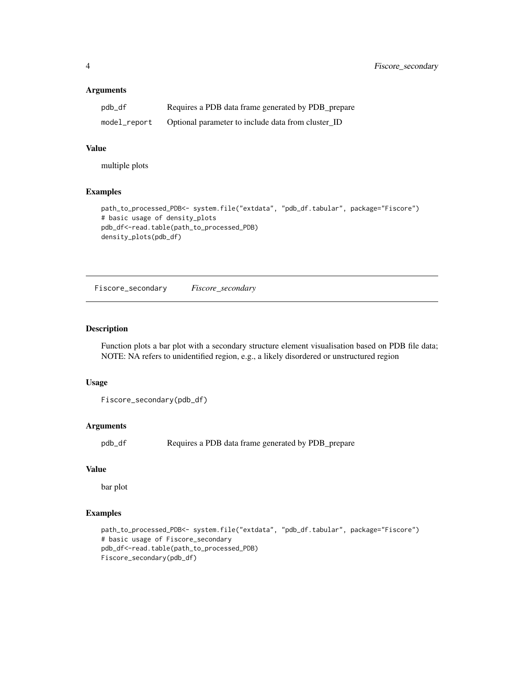#### <span id="page-3-0"></span>Arguments

| pdb_df       | Requires a PDB data frame generated by PDB_prepare |
|--------------|----------------------------------------------------|
| model_report | Optional parameter to include data from cluster ID |

#### Value

multiple plots

#### Examples

```
path_to_processed_PDB<- system.file("extdata", "pdb_df.tabular", package="Fiscore")
# basic usage of density_plots
pdb_df<-read.table(path_to_processed_PDB)
density_plots(pdb_df)
```
Fiscore\_secondary *Fiscore\_secondary*

#### Description

Function plots a bar plot with a secondary structure element visualisation based on PDB file data; NOTE: NA refers to unidentified region, e.g., a likely disordered or unstructured region

#### Usage

```
Fiscore_secondary(pdb_df)
```
#### Arguments

pdb\_df Requires a PDB data frame generated by PDB\_prepare

#### Value

bar plot

```
path_to_processed_PDB<- system.file("extdata", "pdb_df.tabular", package="Fiscore")
# basic usage of Fiscore_secondary
pdb_df<-read.table(path_to_processed_PDB)
Fiscore_secondary(pdb_df)
```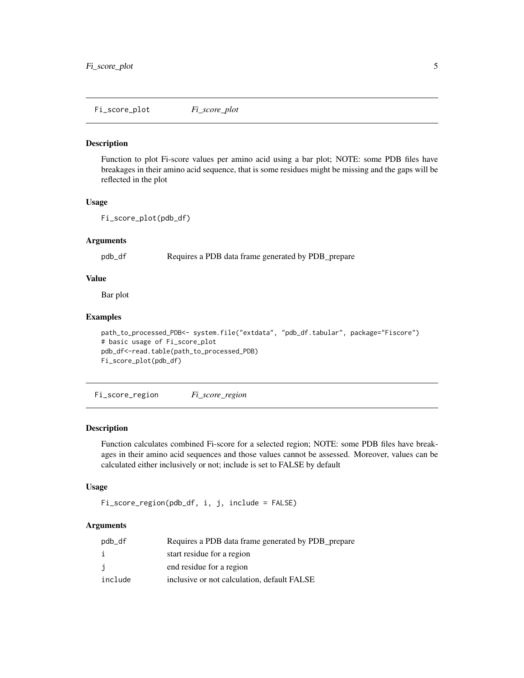<span id="page-4-0"></span>Fi\_score\_plot *Fi\_score\_plot*

#### Description

Function to plot Fi-score values per amino acid using a bar plot; NOTE: some PDB files have breakages in their amino acid sequence, that is some residues might be missing and the gaps will be reflected in the plot

#### Usage

```
Fi_score_plot(pdb_df)
```
#### Arguments

pdb\_df Requires a PDB data frame generated by PDB\_prepare

#### Value

Bar plot

#### Examples

```
path_to_processed_PDB<- system.file("extdata", "pdb_df.tabular", package="Fiscore")
# basic usage of Fi_score_plot
pdb_df<-read.table(path_to_processed_PDB)
Fi_score_plot(pdb_df)
```
Fi\_score\_region *Fi\_score\_region*

#### Description

Function calculates combined Fi-score for a selected region; NOTE: some PDB files have breakages in their amino acid sequences and those values cannot be assessed. Moreover, values can be calculated either inclusively or not; include is set to FALSE by default

#### Usage

```
Fi_score_region(pdb_df, i, j, include = FALSE)
```
#### Arguments

| pdb_df  | Requires a PDB data frame generated by PDB_prepare |
|---------|----------------------------------------------------|
| i.      | start residue for a region                         |
| j       | end residue for a region                           |
| include | inclusive or not calculation, default FALSE        |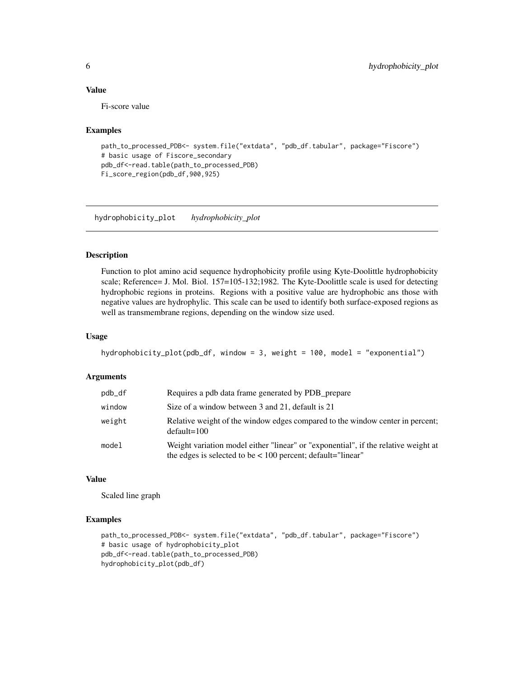#### Value

Fi-score value

#### Examples

```
path_to_processed_PDB<- system.file("extdata", "pdb_df.tabular", package="Fiscore")
# basic usage of Fiscore_secondary
pdb_df<-read.table(path_to_processed_PDB)
Fi_score_region(pdb_df,900,925)
```
hydrophobicity\_plot *hydrophobicity\_plot*

#### Description

Function to plot amino acid sequence hydrophobicity profile using Kyte-Doolittle hydrophobicity scale; Reference= J. Mol. Biol. 157=105-132;1982. The Kyte-Doolittle scale is used for detecting hydrophobic regions in proteins. Regions with a positive value are hydrophobic ans those with negative values are hydrophylic. This scale can be used to identify both surface-exposed regions as well as transmembrane regions, depending on the window size used.

#### Usage

```
hydrophobicity_plot(pdb_df, window = 3, weight = 100, model = "exponential")
```
#### Arguments

| pdb_df | Requires a pdb data frame generated by PDB_prepare                                                                                                    |
|--------|-------------------------------------------------------------------------------------------------------------------------------------------------------|
| window | Size of a window between 3 and 21, default is 21                                                                                                      |
| weight | Relative weight of the window edges compared to the window center in percent;<br>$default=100$                                                        |
| model  | Weight variation model either "linear" or "exponential", if the relative weight at<br>the edges is selected to be $\lt$ 100 percent; default="linear" |

#### Value

Scaled line graph

```
path_to_processed_PDB<- system.file("extdata", "pdb_df.tabular", package="Fiscore")
# basic usage of hydrophobicity_plot
pdb_df<-read.table(path_to_processed_PDB)
hydrophobicity_plot(pdb_df)
```
<span id="page-5-0"></span>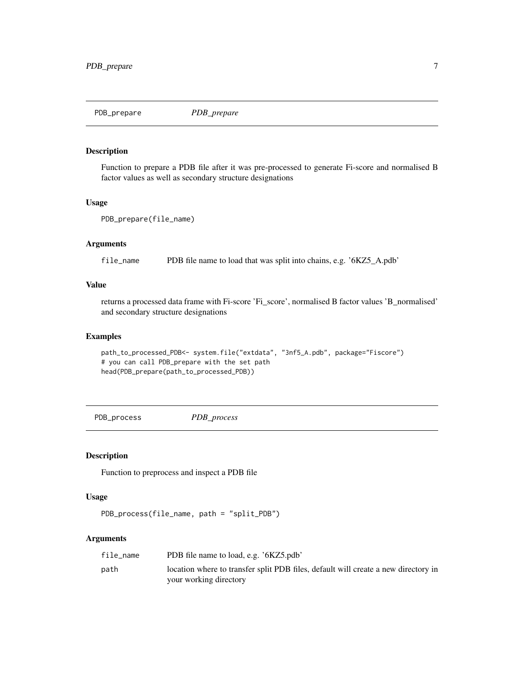<span id="page-6-0"></span>PDB\_prepare *PDB\_prepare*

#### Description

Function to prepare a PDB file after it was pre-processed to generate Fi-score and normalised B factor values as well as secondary structure designations

#### Usage

```
PDB_prepare(file_name)
```
#### Arguments

file\_name PDB file name to load that was split into chains, e.g. '6KZ5\_A.pdb'

#### Value

returns a processed data frame with Fi-score 'Fi\_score', normalised B factor values 'B\_normalised' and secondary structure designations

#### Examples

```
path_to_processed_PDB<- system.file("extdata", "3nf5_A.pdb", package="Fiscore")
# you can call PDB_prepare with the set path
head(PDB_prepare(path_to_processed_PDB))
```
PDB\_process *PDB\_process*

#### Description

Function to preprocess and inspect a PDB file

#### Usage

```
PDB_process(file_name, path = "split_PDB")
```
#### Arguments

| file_name | PDB file name to load, e.g. '6KZ5.pdb'                                             |
|-----------|------------------------------------------------------------------------------------|
| path      | location where to transfer split PDB files, default will create a new directory in |
|           | your working directory                                                             |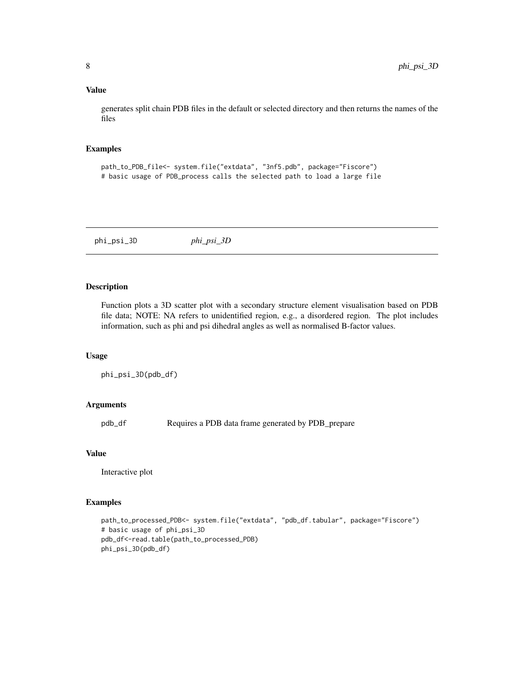#### <span id="page-7-0"></span>Value

generates split chain PDB files in the default or selected directory and then returns the names of the files

#### Examples

```
path_to_PDB_file<- system.file("extdata", "3nf5.pdb", package="Fiscore")
# basic usage of PDB_process calls the selected path to load a large file
```
phi\_psi\_3D *phi\_psi\_3D*

#### Description

Function plots a 3D scatter plot with a secondary structure element visualisation based on PDB file data; NOTE: NA refers to unidentified region, e.g., a disordered region. The plot includes information, such as phi and psi dihedral angles as well as normalised B-factor values.

#### Usage

phi\_psi\_3D(pdb\_df)

#### Arguments

pdb\_df Requires a PDB data frame generated by PDB\_prepare

#### Value

Interactive plot

```
path_to_processed_PDB<- system.file("extdata", "pdb_df.tabular", package="Fiscore")
# basic usage of phi_psi_3D
pdb_df<-read.table(path_to_processed_PDB)
phi_psi_3D(pdb_df)
```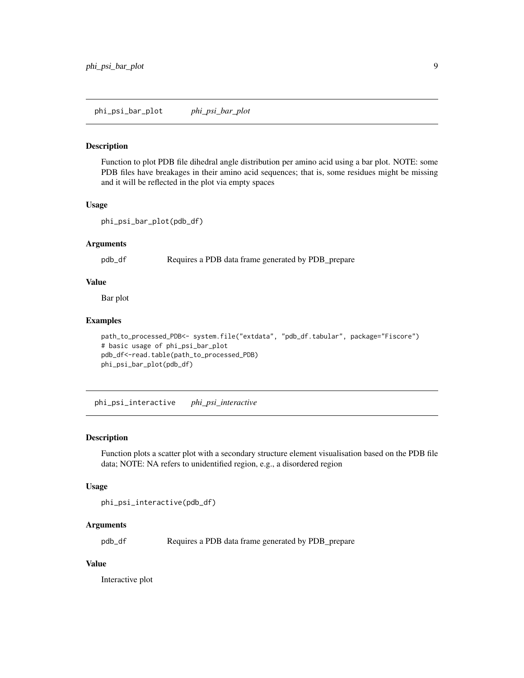<span id="page-8-0"></span>phi\_psi\_bar\_plot *phi\_psi\_bar\_plot*

#### Description

Function to plot PDB file dihedral angle distribution per amino acid using a bar plot. NOTE: some PDB files have breakages in their amino acid sequences; that is, some residues might be missing and it will be reflected in the plot via empty spaces

#### Usage

```
phi_psi_bar_plot(pdb_df)
```
#### Arguments

pdb\_df Requires a PDB data frame generated by PDB\_prepare

#### Value

Bar plot

#### Examples

```
path_to_processed_PDB<- system.file("extdata", "pdb_df.tabular", package="Fiscore")
# basic usage of phi_psi_bar_plot
pdb_df<-read.table(path_to_processed_PDB)
phi_psi_bar_plot(pdb_df)
```
phi\_psi\_interactive *phi\_psi\_interactive*

#### Description

Function plots a scatter plot with a secondary structure element visualisation based on the PDB file data; NOTE: NA refers to unidentified region, e.g., a disordered region

#### Usage

phi\_psi\_interactive(pdb\_df)

#### Arguments

pdb\_df Requires a PDB data frame generated by PDB\_prepare

#### Value

Interactive plot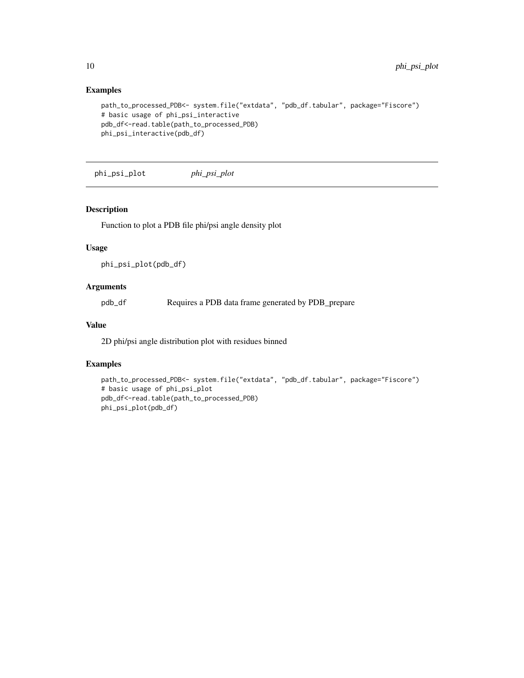#### Examples

```
path_to_processed_PDB<- system.file("extdata", "pdb_df.tabular", package="Fiscore")
# basic usage of phi_psi_interactive
pdb_df<-read.table(path_to_processed_PDB)
phi_psi_interactive(pdb_df)
```
phi\_psi\_plot *phi\_psi\_plot*

#### Description

Function to plot a PDB file phi/psi angle density plot

#### Usage

phi\_psi\_plot(pdb\_df)

#### Arguments

pdb\_df Requires a PDB data frame generated by PDB\_prepare

#### Value

2D phi/psi angle distribution plot with residues binned

```
path_to_processed_PDB<- system.file("extdata", "pdb_df.tabular", package="Fiscore")
# basic usage of phi_psi_plot
pdb_df<-read.table(path_to_processed_PDB)
phi_psi_plot(pdb_df)
```
<span id="page-9-0"></span>